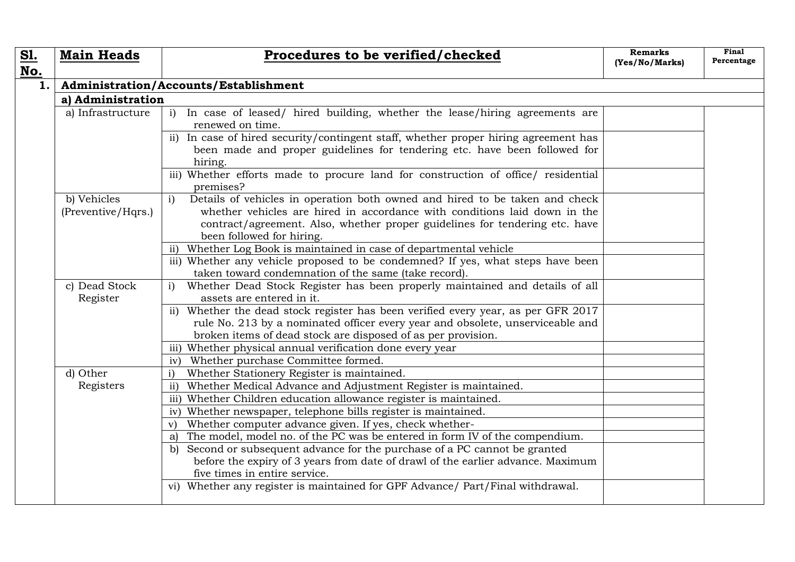| <u>S1.</u> | <b>Main Heads</b>                     | Procedures to be verified/checked                                                                                                                                                                                                                                                    | <b>Remarks</b><br>(Yes/No/Marks) | Final<br>Percentage |  |  |
|------------|---------------------------------------|--------------------------------------------------------------------------------------------------------------------------------------------------------------------------------------------------------------------------------------------------------------------------------------|----------------------------------|---------------------|--|--|
| No.        |                                       |                                                                                                                                                                                                                                                                                      |                                  |                     |  |  |
| 1.         | Administration/Accounts/Establishment |                                                                                                                                                                                                                                                                                      |                                  |                     |  |  |
|            | a) Administration                     |                                                                                                                                                                                                                                                                                      |                                  |                     |  |  |
|            | a) Infrastructure                     | In case of leased/ hired building, whether the lease/hiring agreements are<br>i)<br>renewed on time.                                                                                                                                                                                 |                                  |                     |  |  |
|            |                                       | ii) In case of hired security/contingent staff, whether proper hiring agreement has<br>been made and proper guidelines for tendering etc. have been followed for<br>hiring.                                                                                                          |                                  |                     |  |  |
|            |                                       | iii) Whether efforts made to procure land for construction of office/ residential<br>premises?                                                                                                                                                                                       |                                  |                     |  |  |
|            | b) Vehicles<br>(Preventive/Hqrs.)     | Details of vehicles in operation both owned and hired to be taken and check<br>$\mathbf{i}$<br>whether vehicles are hired in accordance with conditions laid down in the<br>contract/agreement. Also, whether proper guidelines for tendering etc. have<br>been followed for hiring. |                                  |                     |  |  |
|            |                                       | ii) Whether Log Book is maintained in case of departmental vehicle                                                                                                                                                                                                                   |                                  |                     |  |  |
|            |                                       | iii) Whether any vehicle proposed to be condemned? If yes, what steps have been<br>taken toward condemnation of the same (take record).                                                                                                                                              |                                  |                     |  |  |
|            | c) Dead Stock<br>Register             | Whether Dead Stock Register has been properly maintained and details of all<br>assets are entered in it.                                                                                                                                                                             |                                  |                     |  |  |
|            |                                       | ii) Whether the dead stock register has been verified every year, as per GFR 2017<br>rule No. 213 by a nominated officer every year and obsolete, unserviceable and<br>broken items of dead stock are disposed of as per provision.                                                  |                                  |                     |  |  |
|            |                                       | iii) Whether physical annual verification done every year                                                                                                                                                                                                                            |                                  |                     |  |  |
|            |                                       | Whether purchase Committee formed.<br>iv)                                                                                                                                                                                                                                            |                                  |                     |  |  |
|            | d) Other                              | Whether Stationery Register is maintained.<br>$\mathbf{i}$                                                                                                                                                                                                                           |                                  |                     |  |  |
|            | Registers                             | Whether Medical Advance and Adjustment Register is maintained.<br>$\rm ii)$                                                                                                                                                                                                          |                                  |                     |  |  |
|            |                                       | iii) Whether Children education allowance register is maintained.                                                                                                                                                                                                                    |                                  |                     |  |  |
|            |                                       | iv) Whether newspaper, telephone bills register is maintained.                                                                                                                                                                                                                       |                                  |                     |  |  |
|            |                                       | Whether computer advance given. If yes, check whether-<br>V)                                                                                                                                                                                                                         |                                  |                     |  |  |
|            |                                       | The model, model no. of the PC was be entered in form IV of the compendium.<br>a)                                                                                                                                                                                                    |                                  |                     |  |  |
|            |                                       | Second or subsequent advance for the purchase of a PC cannot be granted<br>b)<br>before the expiry of 3 years from date of drawl of the earlier advance. Maximum<br>five times in entire service.                                                                                    |                                  |                     |  |  |
|            |                                       | vi) Whether any register is maintained for GPF Advance/ Part/Final withdrawal.                                                                                                                                                                                                       |                                  |                     |  |  |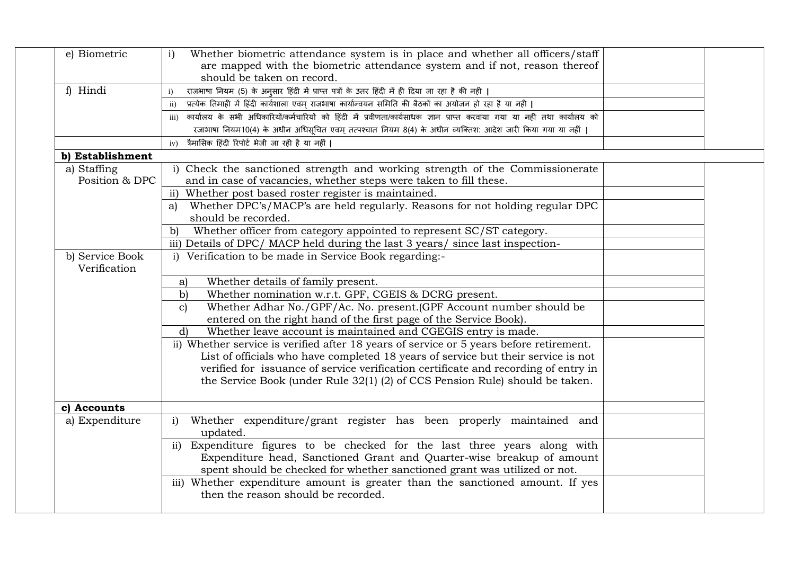| e) Biometric     | Whether biometric attendance system is in place and whether all officers/staff<br>$\mathbf{i}$                                  |  |  |  |  |
|------------------|---------------------------------------------------------------------------------------------------------------------------------|--|--|--|--|
|                  | are mapped with the biometric attendance system and if not, reason thereof                                                      |  |  |  |  |
|                  | should be taken on record.                                                                                                      |  |  |  |  |
| f) Hindi         | राजभाषा नियम (5) के अनुसार हिंदी में प्राप्त पत्रों के उतर हिंदी में ही दिया जा रहा है की नही  <br>$\mathbf{i}$                 |  |  |  |  |
|                  | प्रत्येक तिमाही में हिंदी कार्यशाला एवम् राजभाषा कार्यान्वयन समिति की बैठकों का अयोजन हो रहा है या नही  <br>$\mathbf{ii}$       |  |  |  |  |
|                  | कार्यालय के सभी अधिकारियों/कर्मचारियों को हिंदी में प्रवीणता/कार्यसाधक ज्ञान प्राप्त करवाया गया या नहीं तथा कार्यालय को<br>iii) |  |  |  |  |
|                  | रजाभाषा नियम10(4) के अधीन अधिसूचित एवम् तत्पश्चात नियम 8(4) के अधीन व्यक्तिश: आदेश जारी किया गया या नहीं                        |  |  |  |  |
|                  | त्रैमासिक हिंदी रिपोर्ट भेजी जा रही है या नहीं  <br>iv)                                                                         |  |  |  |  |
| b) Establishment |                                                                                                                                 |  |  |  |  |
| a) Staffing      | i) Check the sanctioned strength and working strength of the Commissionerate                                                    |  |  |  |  |
| Position & DPC   | and in case of vacancies, whether steps were taken to fill these.                                                               |  |  |  |  |
|                  | Whether post based roster register is maintained.<br>$\mathbf{ii}$                                                              |  |  |  |  |
|                  | Whether DPC's/MACP's are held regularly. Reasons for not holding regular DPC<br>a)                                              |  |  |  |  |
|                  | should be recorded.                                                                                                             |  |  |  |  |
|                  | Whether officer from category appointed to represent SC/ST category.<br>b)                                                      |  |  |  |  |
|                  | iii) Details of DPC/ MACP held during the last 3 years/ since last inspection-                                                  |  |  |  |  |
| b) Service Book  | i) Verification to be made in Service Book regarding:-                                                                          |  |  |  |  |
| Verification     |                                                                                                                                 |  |  |  |  |
|                  | Whether details of family present.<br>a)                                                                                        |  |  |  |  |
|                  | Whether nomination w.r.t. GPF, CGEIS & DCRG present.<br>$\mathbf{b}$                                                            |  |  |  |  |
|                  | Whether Adhar No./GPF/Ac. No. present.(GPF Account number should be<br>$\mathbf{c}$                                             |  |  |  |  |
|                  | entered on the right hand of the first page of the Service Book).                                                               |  |  |  |  |
|                  | Whether leave account is maintained and CGEGIS entry is made.<br>$\mathbf{d}$                                                   |  |  |  |  |
|                  | ii) Whether service is verified after 18 years of service or 5 years before retirement.                                         |  |  |  |  |
|                  | List of officials who have completed 18 years of service but their service is not                                               |  |  |  |  |
|                  | verified for issuance of service verification certificate and recording of entry in                                             |  |  |  |  |
|                  | the Service Book (under Rule 32(1) (2) of CCS Pension Rule) should be taken.                                                    |  |  |  |  |
|                  |                                                                                                                                 |  |  |  |  |
| c) Accounts      |                                                                                                                                 |  |  |  |  |
| a) Expenditure   | Whether expenditure/grant register has been properly maintained and<br>$\mathbf{i}$                                             |  |  |  |  |
|                  | updated.                                                                                                                        |  |  |  |  |
|                  | ii) Expenditure figures to be checked for the last three years along with                                                       |  |  |  |  |
|                  | Expenditure head, Sanctioned Grant and Quarter-wise breakup of amount                                                           |  |  |  |  |
|                  | spent should be checked for whether sanctioned grant was utilized or not.                                                       |  |  |  |  |
|                  | iii) Whether expenditure amount is greater than the sanctioned amount. If yes                                                   |  |  |  |  |
|                  | then the reason should be recorded.                                                                                             |  |  |  |  |
|                  |                                                                                                                                 |  |  |  |  |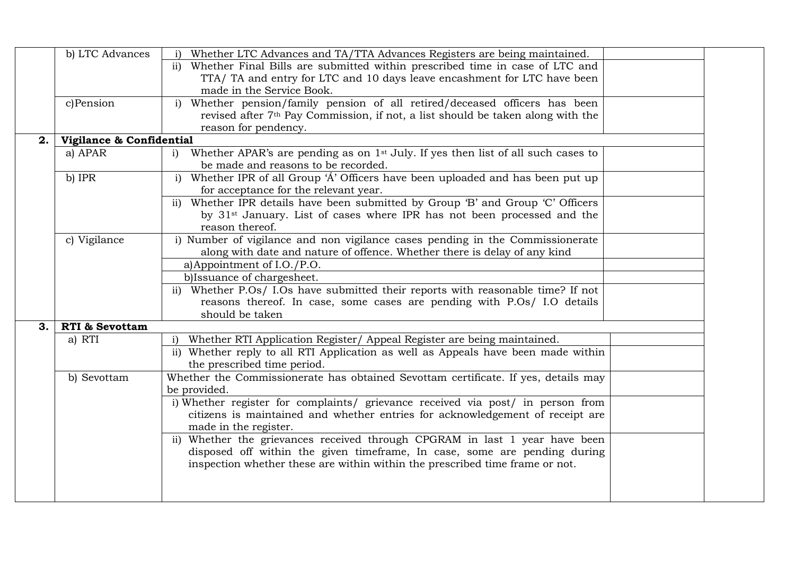|    | b) LTC Advances           | i) Whether LTC Advances and TA/TTA Advances Registers are being maintained.                     |  |  |  |  |
|----|---------------------------|-------------------------------------------------------------------------------------------------|--|--|--|--|
|    |                           | ii) Whether Final Bills are submitted within prescribed time in case of LTC and                 |  |  |  |  |
|    |                           | TTA/ TA and entry for LTC and 10 days leave encashment for LTC have been                        |  |  |  |  |
|    |                           | made in the Service Book.                                                                       |  |  |  |  |
|    | c)Pension                 | i) Whether pension/family pension of all retired/deceased officers has been                     |  |  |  |  |
|    |                           | revised after 7 <sup>th</sup> Pay Commission, if not, a list should be taken along with the     |  |  |  |  |
|    |                           | reason for pendency.                                                                            |  |  |  |  |
| 2. | Vigilance & Confidential  |                                                                                                 |  |  |  |  |
|    | a) APAR                   | i) Whether APAR's are pending as on 1 <sup>st</sup> July. If yes then list of all such cases to |  |  |  |  |
|    |                           | be made and reasons to be recorded.                                                             |  |  |  |  |
|    | b) IPR                    | i) Whether IPR of all Group 'A' Officers have been uploaded and has been put up                 |  |  |  |  |
|    |                           | for acceptance for the relevant year.                                                           |  |  |  |  |
|    |                           | ii) Whether IPR details have been submitted by Group 'B' and Group 'C' Officers                 |  |  |  |  |
|    |                           | by 31 <sup>st</sup> January. List of cases where IPR has not been processed and the             |  |  |  |  |
|    |                           | reason thereof.                                                                                 |  |  |  |  |
|    | c) Vigilance              | i) Number of vigilance and non vigilance cases pending in the Commissionerate                   |  |  |  |  |
|    |                           | along with date and nature of offence. Whether there is delay of any kind                       |  |  |  |  |
|    |                           | a)Appointment of I.O./P.O.                                                                      |  |  |  |  |
|    |                           | b) Issuance of chargesheet.                                                                     |  |  |  |  |
|    |                           | ii) Whether P.Os/ I.Os have submitted their reports with reasonable time? If not                |  |  |  |  |
|    |                           | reasons thereof. In case, some cases are pending with P.Os/ I.O details                         |  |  |  |  |
|    |                           | should be taken                                                                                 |  |  |  |  |
| 3. | <b>RTI &amp; Sevottam</b> |                                                                                                 |  |  |  |  |
|    | a) RTI                    | Whether RTI Application Register/ Appeal Register are being maintained.<br>$\mathbf{i}$         |  |  |  |  |
|    |                           | ii) Whether reply to all RTI Application as well as Appeals have been made within               |  |  |  |  |
|    |                           | the prescribed time period.                                                                     |  |  |  |  |
|    | b) Sevottam               | Whether the Commissionerate has obtained Sevottam certificate. If yes, details may              |  |  |  |  |
|    |                           | be provided.                                                                                    |  |  |  |  |
|    |                           | i) Whether register for complaints/ grievance received via post/ in person from                 |  |  |  |  |
|    |                           | citizens is maintained and whether entries for acknowledgement of receipt are                   |  |  |  |  |
|    |                           | made in the register.                                                                           |  |  |  |  |
|    |                           | ii) Whether the grievances received through CPGRAM in last 1 year have been                     |  |  |  |  |
|    |                           | disposed off within the given timeframe, In case, some are pending during                       |  |  |  |  |
|    |                           | inspection whether these are within within the prescribed time frame or not.                    |  |  |  |  |
|    |                           |                                                                                                 |  |  |  |  |
|    |                           |                                                                                                 |  |  |  |  |
|    |                           |                                                                                                 |  |  |  |  |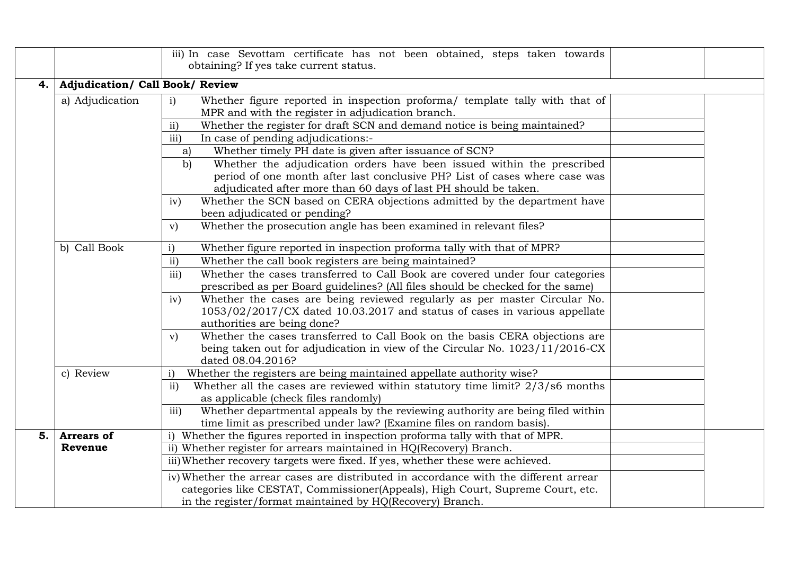|      |                   | iii) In case Sevottam certificate has not been obtained, steps taken towards<br>obtaining? If yes take current status.                                                                                                        |  |  |  |  |  |
|------|-------------------|-------------------------------------------------------------------------------------------------------------------------------------------------------------------------------------------------------------------------------|--|--|--|--|--|
| 4. l |                   | <b>Adjudication/ Call Book/ Review</b>                                                                                                                                                                                        |  |  |  |  |  |
|      | a) Adjudication   | Whether figure reported in inspection proforma/ template tally with that of<br>$\mathbf{i}$<br>MPR and with the register in adjudication branch.                                                                              |  |  |  |  |  |
|      |                   | Whether the register for draft SCN and demand notice is being maintained?<br>$\mathbf{ii}$                                                                                                                                    |  |  |  |  |  |
|      |                   | iii)<br>In case of pending adjudications:-                                                                                                                                                                                    |  |  |  |  |  |
|      |                   | Whether timely PH date is given after issuance of SCN?<br>a)                                                                                                                                                                  |  |  |  |  |  |
|      |                   | Whether the adjudication orders have been issued within the prescribed<br>b)<br>period of one month after last conclusive PH? List of cases where case was<br>adjudicated after more than 60 days of last PH should be taken. |  |  |  |  |  |
|      |                   | Whether the SCN based on CERA objections admitted by the department have<br>iv)<br>been adjudicated or pending?                                                                                                               |  |  |  |  |  |
|      |                   | Whether the prosecution angle has been examined in relevant files?<br>V)                                                                                                                                                      |  |  |  |  |  |
|      | b) Call Book      | Whether figure reported in inspection proforma tally with that of MPR?<br>$\mathbf{i}$                                                                                                                                        |  |  |  |  |  |
|      |                   | ii)<br>Whether the call book registers are being maintained?                                                                                                                                                                  |  |  |  |  |  |
|      |                   | Whether the cases transferred to Call Book are covered under four categories<br>iii)                                                                                                                                          |  |  |  |  |  |
|      |                   | prescribed as per Board guidelines? (All files should be checked for the same)                                                                                                                                                |  |  |  |  |  |
|      |                   | Whether the cases are being reviewed regularly as per master Circular No.<br>iv)                                                                                                                                              |  |  |  |  |  |
|      |                   | $1053/02/2017/CX$ dated 10.03.2017 and status of cases in various appellate<br>authorities are being done?                                                                                                                    |  |  |  |  |  |
|      |                   | Whether the cases transferred to Call Book on the basis CERA objections are<br>V)<br>being taken out for adjudication in view of the Circular No. 1023/11/2016-CX<br>dated 08.04.2016?                                        |  |  |  |  |  |
|      | c) Review         | Whether the registers are being maintained appellate authority wise?<br>$\mathbf{i}$                                                                                                                                          |  |  |  |  |  |
|      |                   | Whether all the cases are reviewed within statutory time limit? 2/3/s6 months<br>$\mathbf{ii}$<br>as applicable (check files randomly)                                                                                        |  |  |  |  |  |
|      |                   | Whether departmental appeals by the reviewing authority are being filed within<br>iii)                                                                                                                                        |  |  |  |  |  |
|      |                   | time limit as prescribed under law? (Examine files on random basis).                                                                                                                                                          |  |  |  |  |  |
| 5.   | <b>Arrears of</b> | i) Whether the figures reported in inspection proforma tally with that of MPR.                                                                                                                                                |  |  |  |  |  |
|      | Revenue           | ii) Whether register for arrears maintained in HQ(Recovery) Branch.                                                                                                                                                           |  |  |  |  |  |
|      |                   | iii) Whether recovery targets were fixed. If yes, whether these were achieved.                                                                                                                                                |  |  |  |  |  |
|      |                   | iv) Whether the arrear cases are distributed in accordance with the different arrear                                                                                                                                          |  |  |  |  |  |
|      |                   | categories like CESTAT, Commissioner(Appeals), High Court, Supreme Court, etc.<br>in the register/format maintained by HQ(Recovery) Branch.                                                                                   |  |  |  |  |  |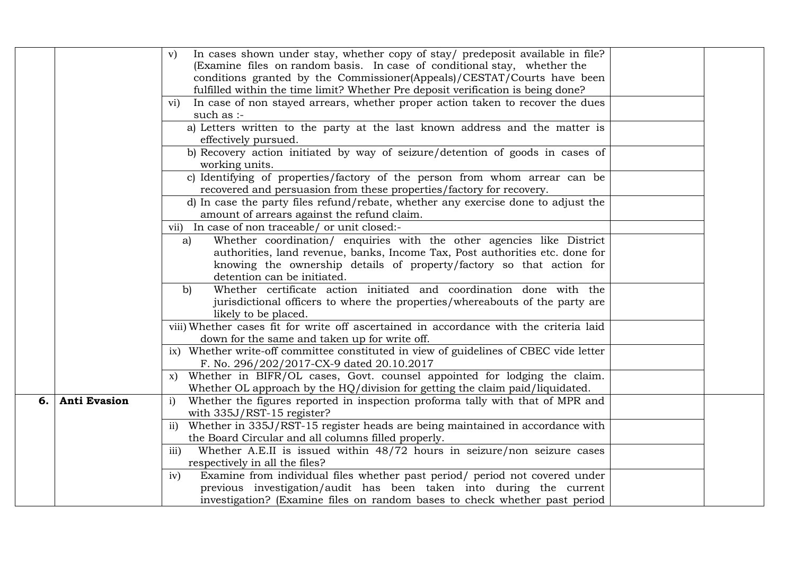|    |                     | In cases shown under stay, whether copy of stay/ predeposit available in file?<br>V)<br>(Examine files on random basis. In case of conditional stay, whether the<br>conditions granted by the Commissioner(Appeals)/CESTAT/Courts have been<br>fulfilled within the time limit? Whether Pre deposit verification is being done?<br>In case of non stayed arrears, whether proper action taken to recover the dues<br>$\rm{v}$ <sub>1</sub> $)$ |  |
|----|---------------------|------------------------------------------------------------------------------------------------------------------------------------------------------------------------------------------------------------------------------------------------------------------------------------------------------------------------------------------------------------------------------------------------------------------------------------------------|--|
|    |                     | such as :-                                                                                                                                                                                                                                                                                                                                                                                                                                     |  |
|    |                     | a) Letters written to the party at the last known address and the matter is<br>effectively pursued.                                                                                                                                                                                                                                                                                                                                            |  |
|    |                     | b) Recovery action initiated by way of seizure/detention of goods in cases of<br>working units.                                                                                                                                                                                                                                                                                                                                                |  |
|    |                     | c) Identifying of properties/factory of the person from whom arrear can be<br>recovered and persuasion from these properties/factory for recovery.                                                                                                                                                                                                                                                                                             |  |
|    |                     | d) In case the party files refund/rebate, whether any exercise done to adjust the<br>amount of arrears against the refund claim.                                                                                                                                                                                                                                                                                                               |  |
|    |                     | vii) In case of non traceable/ or unit closed:-                                                                                                                                                                                                                                                                                                                                                                                                |  |
|    |                     | Whether coordination/ enquiries with the other agencies like District<br>a)                                                                                                                                                                                                                                                                                                                                                                    |  |
|    |                     | authorities, land revenue, banks, Income Tax, Post authorities etc. done for                                                                                                                                                                                                                                                                                                                                                                   |  |
|    |                     | knowing the ownership details of property/factory so that action for<br>detention can be initiated.                                                                                                                                                                                                                                                                                                                                            |  |
|    |                     | Whether certificate action initiated and coordination done with the<br>b)                                                                                                                                                                                                                                                                                                                                                                      |  |
|    |                     | jurisdictional officers to where the properties/whereabouts of the party are<br>likely to be placed.                                                                                                                                                                                                                                                                                                                                           |  |
|    |                     | viii) Whether cases fit for write off ascertained in accordance with the criteria laid<br>down for the same and taken up for write off.                                                                                                                                                                                                                                                                                                        |  |
|    |                     | ix) Whether write-off committee constituted in view of guidelines of CBEC vide letter<br>F. No. 296/202/2017-CX-9 dated 20.10.2017                                                                                                                                                                                                                                                                                                             |  |
|    |                     | x) Whether in BIFR/OL cases, Govt. counsel appointed for lodging the claim.<br>Whether OL approach by the HQ/division for getting the claim paid/liquidated.                                                                                                                                                                                                                                                                                   |  |
| 6. | <b>Anti Evasion</b> | Whether the figures reported in inspection proforma tally with that of MPR and<br>$\mathbf{i}$<br>with 335J/RST-15 register?                                                                                                                                                                                                                                                                                                                   |  |
|    |                     | ii) Whether in 335J/RST-15 register heads are being maintained in accordance with                                                                                                                                                                                                                                                                                                                                                              |  |
|    |                     | the Board Circular and all columns filled properly.                                                                                                                                                                                                                                                                                                                                                                                            |  |
|    |                     | Whether A.E.II is issued within 48/72 hours in seizure/non seizure cases<br>iii)                                                                                                                                                                                                                                                                                                                                                               |  |
|    |                     | respectively in all the files?                                                                                                                                                                                                                                                                                                                                                                                                                 |  |
|    |                     | Examine from individual files whether past period/ period not covered under<br>iv)                                                                                                                                                                                                                                                                                                                                                             |  |
|    |                     | previous investigation/audit has been taken into during the current                                                                                                                                                                                                                                                                                                                                                                            |  |
|    |                     | investigation? (Examine files on random bases to check whether past period                                                                                                                                                                                                                                                                                                                                                                     |  |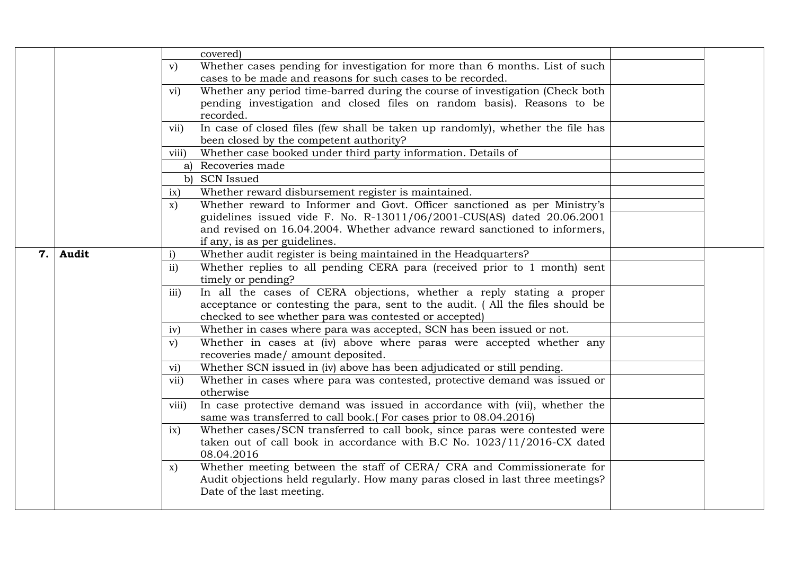|     |       |                         | covered)                                                                       |  |
|-----|-------|-------------------------|--------------------------------------------------------------------------------|--|
|     |       | V)                      | Whether cases pending for investigation for more than 6 months. List of such   |  |
|     |       |                         | cases to be made and reasons for such cases to be recorded.                    |  |
|     |       | $\overline{\text{vi}}$  | Whether any period time-barred during the course of investigation (Check both  |  |
|     |       |                         | pending investigation and closed files on random basis). Reasons to be         |  |
|     |       |                         | recorded.                                                                      |  |
|     |       | vii)                    | In case of closed files (few shall be taken up randomly), whether the file has |  |
|     |       |                         | been closed by the competent authority?                                        |  |
|     |       | viii)                   | Whether case booked under third party information. Details of                  |  |
|     |       |                         | a) Recoveries made                                                             |  |
|     |       |                         | b) SCN Issued                                                                  |  |
|     |       | ix)                     | Whether reward disbursement register is maintained.                            |  |
|     |       | $\mathbf{x})$           | Whether reward to Informer and Govt. Officer sanctioned as per Ministry's      |  |
|     |       |                         | guidelines issued vide F. No. R-13011/06/2001-CUS(AS) dated 20.06.2001         |  |
|     |       |                         | and revised on 16.04.2004. Whether advance reward sanctioned to informers,     |  |
|     |       |                         | if any, is as per guidelines.                                                  |  |
| 7.1 | Audit | $\mathbf{i}$            | Whether audit register is being maintained in the Headquarters?                |  |
|     |       | $\mathbf{ii}$           | Whether replies to all pending CERA para (received prior to 1 month) sent      |  |
|     |       |                         | timely or pending?                                                             |  |
|     |       | iii)                    | In all the cases of CERA objections, whether a reply stating a proper          |  |
|     |       |                         | acceptance or contesting the para, sent to the audit. (All the files should be |  |
|     |       |                         | checked to see whether para was contested or accepted)                         |  |
|     |       | iv)                     | Whether in cases where para was accepted, SCN has been issued or not.          |  |
|     |       | V)                      | Whether in cases at (iv) above where paras were accepted whether any           |  |
|     |       |                         | recoveries made/ amount deposited.                                             |  |
|     |       | $\rm vi)$               | Whether SCN issued in (iv) above has been adjudicated or still pending.        |  |
|     |       | $\overline{\text{vii}}$ | Whether in cases where para was contested, protective demand was issued or     |  |
|     |       |                         | otherwise                                                                      |  |
|     |       | viii)                   | In case protective demand was issued in accordance with (vii), whether the     |  |
|     |       |                         | same was transferred to call book.(For cases prior to 08.04.2016)              |  |
|     |       | ix)                     | Whether cases/SCN transferred to call book, since paras were contested were    |  |
|     |       |                         | taken out of call book in accordance with B.C No. 1023/11/2016-CX dated        |  |
|     |       |                         | 08.04.2016                                                                     |  |
|     |       | X)                      | Whether meeting between the staff of CERA/ CRA and Commissionerate for         |  |
|     |       |                         | Audit objections held regularly. How many paras closed in last three meetings? |  |
|     |       |                         | Date of the last meeting.                                                      |  |
|     |       |                         |                                                                                |  |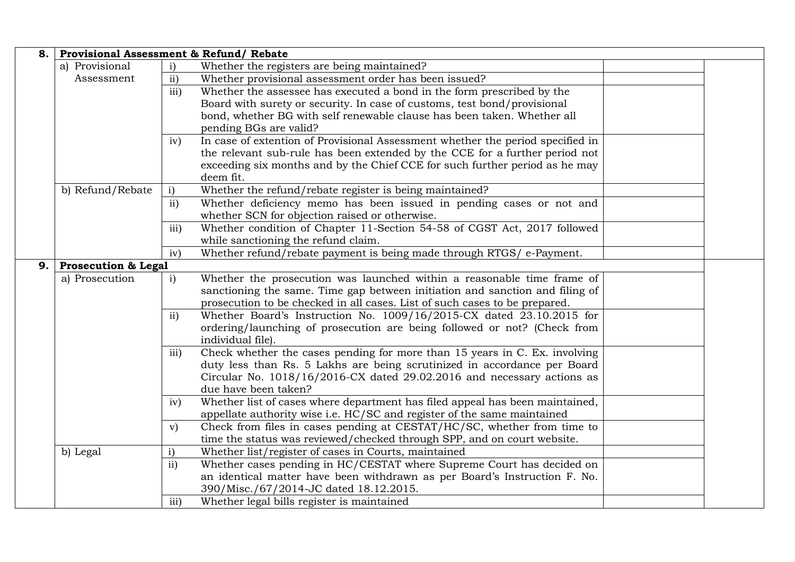| 8.1 | <b>Provisional Assessment &amp; Refund/ Rebate</b> |               |                                                                                |  |
|-----|----------------------------------------------------|---------------|--------------------------------------------------------------------------------|--|
|     | a) Provisional                                     | $\mathbf{i}$  | Whether the registers are being maintained?                                    |  |
|     | Assessment                                         | $\mathbf{ii}$ | Whether provisional assessment order has been issued?                          |  |
|     |                                                    | iii)          | Whether the assessee has executed a bond in the form prescribed by the         |  |
|     |                                                    |               | Board with surety or security. In case of customs, test bond/provisional       |  |
|     |                                                    |               | bond, whether BG with self renewable clause has been taken. Whether all        |  |
|     |                                                    |               | pending BGs are valid?                                                         |  |
|     |                                                    | iv)           | In case of extention of Provisional Assessment whether the period specified in |  |
|     |                                                    |               | the relevant sub-rule has been extended by the CCE for a further period not    |  |
|     |                                                    |               | exceeding six months and by the Chief CCE for such further period as he may    |  |
|     |                                                    |               | deem fit.                                                                      |  |
|     | b) Refund/Rebate                                   | $\mathbf{i}$  | Whether the refund/rebate register is being maintained?                        |  |
|     |                                                    | $\mathbf{ii}$ | Whether deficiency memo has been issued in pending cases or not and            |  |
|     |                                                    |               | whether SCN for objection raised or otherwise.                                 |  |
|     |                                                    | iii)          | Whether condition of Chapter 11-Section 54-58 of CGST Act, 2017 followed       |  |
|     |                                                    |               | while sanctioning the refund claim.                                            |  |
|     |                                                    | iv)           | Whether refund/rebate payment is being made through RTGS/ e-Payment.           |  |
| 9.1 | <b>Prosecution &amp; Legal</b>                     |               |                                                                                |  |
|     | a) Prosecution                                     | $\mathbf{i}$  | Whether the prosecution was launched within a reasonable time frame of         |  |
|     |                                                    |               | sanctioning the same. Time gap between initiation and sanction and filing of   |  |
|     |                                                    |               | prosecution to be checked in all cases. List of such cases to be prepared.     |  |
|     |                                                    | $\mathbf{ii}$ | Whether Board's Instruction No. 1009/16/2015-CX dated 23.10.2015 for           |  |
|     |                                                    |               | ordering/launching of prosecution are being followed or not? (Check from       |  |
|     |                                                    |               | individual file).                                                              |  |
|     |                                                    | iii)          | Check whether the cases pending for more than 15 years in C. Ex. involving     |  |
|     |                                                    |               | duty less than Rs. 5 Lakhs are being scrutinized in accordance per Board       |  |
|     |                                                    |               | Circular No. 1018/16/2016-CX dated 29.02.2016 and necessary actions as         |  |
|     |                                                    |               | due have been taken?                                                           |  |
|     |                                                    | iv)           | Whether list of cases where department has filed appeal has been maintained,   |  |
|     |                                                    |               | appellate authority wise i.e. HC/SC and register of the same maintained        |  |
|     |                                                    | V)            | Check from files in cases pending at CESTAT/HC/SC, whether from time to        |  |
|     |                                                    |               | time the status was reviewed/checked through SPP, and on court website.        |  |
|     | b) Legal                                           | $\mathbf{i}$  | Whether list/register of cases in Courts, maintained                           |  |
|     |                                                    | ii)           | Whether cases pending in HC/CESTAT where Supreme Court has decided on          |  |
|     |                                                    |               | an identical matter have been withdrawn as per Board's Instruction F. No.      |  |
|     |                                                    |               | 390/Misc./67/2014-JC dated 18.12.2015.                                         |  |
|     |                                                    | iii)          | Whether legal bills register is maintained                                     |  |